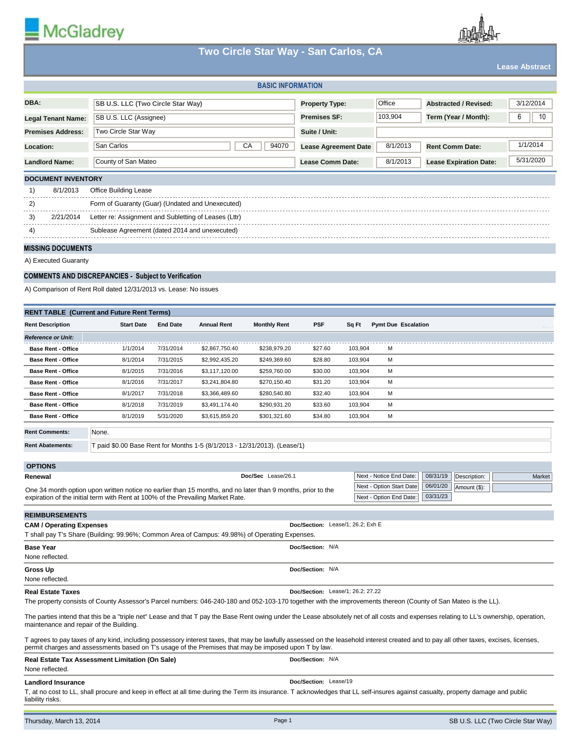

# **Two Circle Star Way - San Carlos, CA**

|                                                                                                                                                                                                                                       |                                                                                                         |                        |                                  | Two Gircle Star Way - San Garlos, CA |                                   |                    |                                                     |                                                      | <b>Lease Abstract</b> |
|---------------------------------------------------------------------------------------------------------------------------------------------------------------------------------------------------------------------------------------|---------------------------------------------------------------------------------------------------------|------------------------|----------------------------------|--------------------------------------|-----------------------------------|--------------------|-----------------------------------------------------|------------------------------------------------------|-----------------------|
|                                                                                                                                                                                                                                       |                                                                                                         |                        |                                  | <b>BASIC INFORMATION</b>             |                                   |                    |                                                     |                                                      |                       |
| DBA:                                                                                                                                                                                                                                  | SB U.S. LLC (Two Circle Star Way)                                                                       |                        |                                  |                                      | <b>Property Type:</b>             |                    | Office                                              | <b>Abstracted / Revised:</b>                         | 3/12/2014             |
| <b>Legal Tenant Name:</b>                                                                                                                                                                                                             | SB U.S. LLC (Assignee)                                                                                  |                        |                                  |                                      | <b>Premises SF:</b>               |                    | 103.904                                             | Term (Year / Month):                                 | 6<br>10               |
| <b>Premises Address:</b>                                                                                                                                                                                                              | Two Circle Star Way                                                                                     |                        |                                  |                                      | Suite / Unit:                     |                    |                                                     |                                                      |                       |
| Location:                                                                                                                                                                                                                             | San Carlos<br>СA<br>94070                                                                               |                        |                                  |                                      | <b>Lease Agreement Date</b>       |                    | 8/1/2013                                            | <b>Rent Comm Date:</b>                               | 1/1/2014              |
| <b>Landlord Name:</b>                                                                                                                                                                                                                 | County of San Mateo                                                                                     |                        |                                  |                                      |                                   | 8/1/2013           | <b>Lease Expiration Date:</b>                       | 5/31/2020                                            |                       |
|                                                                                                                                                                                                                                       | Lease Comm Date:                                                                                        |                        |                                  |                                      |                                   |                    |                                                     |                                                      |                       |
| <b>DOCUMENT INVENTORY</b><br>1)<br>8/1/2013                                                                                                                                                                                           | Office Building Lease                                                                                   |                        |                                  |                                      |                                   |                    |                                                     |                                                      |                       |
| 2)                                                                                                                                                                                                                                    | Form of Guaranty (Guar) (Undated and Unexecuted)                                                        |                        |                                  |                                      |                                   |                    |                                                     |                                                      |                       |
| 2/21/2014<br>3)                                                                                                                                                                                                                       |                                                                                                         |                        |                                  |                                      |                                   |                    |                                                     |                                                      |                       |
| 4)                                                                                                                                                                                                                                    | Letter re: Assignment and Subletting of Leases (Lttr)<br>Sublease Agreement (dated 2014 and unexecuted) |                        |                                  |                                      |                                   |                    |                                                     |                                                      |                       |
|                                                                                                                                                                                                                                       |                                                                                                         |                        |                                  |                                      |                                   |                    |                                                     |                                                      |                       |
| <b>MISSING DOCUMENTS</b>                                                                                                                                                                                                              |                                                                                                         |                        |                                  |                                      |                                   |                    |                                                     |                                                      |                       |
| A) Executed Guaranty                                                                                                                                                                                                                  |                                                                                                         |                        |                                  |                                      |                                   |                    |                                                     |                                                      |                       |
|                                                                                                                                                                                                                                       | <b>COMMENTS AND DISCREPANCIES - Subject to Verification</b>                                             |                        |                                  |                                      |                                   |                    |                                                     |                                                      |                       |
|                                                                                                                                                                                                                                       | A) Comparison of Rent Roll dated 12/31/2013 vs. Lease: No issues                                        |                        |                                  |                                      |                                   |                    |                                                     |                                                      |                       |
|                                                                                                                                                                                                                                       | <b>RENT TABLE (Current and Future Rent Terms)</b>                                                       |                        |                                  |                                      |                                   |                    |                                                     |                                                      |                       |
| <b>Rent Description</b>                                                                                                                                                                                                               | <b>Start Date</b>                                                                                       | <b>End Date</b>        | <b>Annual Rent</b>               | <b>Monthly Rent</b>                  | <b>PSF</b>                        | Sq Ft              | <b>Pymt Due Escalation</b>                          |                                                      |                       |
| <b>Reference or Unit:</b>                                                                                                                                                                                                             |                                                                                                         |                        |                                  |                                      |                                   |                    |                                                     |                                                      |                       |
| <b>Base Rent - Office</b>                                                                                                                                                                                                             | 1/1/2014                                                                                                | 7/31/2014              | \$2,867,750.40                   | \$238,979.20                         | \$27.60                           | 103,904            | м                                                   |                                                      |                       |
| <b>Base Rent - Office</b>                                                                                                                                                                                                             | 8/1/2014                                                                                                | 7/31/2015              | \$2,992,435.20                   | \$249,369.60                         | \$28.80                           | 103,904            | м                                                   |                                                      |                       |
| <b>Base Rent - Office</b><br><b>Base Rent - Office</b>                                                                                                                                                                                | 8/1/2015<br>8/1/2016                                                                                    | 7/31/2016<br>7/31/2017 | \$3,117,120.00<br>\$3,241,804.80 | \$259,760.00<br>\$270,150.40         | \$30.00<br>\$31.20                | 103,904<br>103,904 | м<br>М                                              |                                                      |                       |
| <b>Base Rent - Office</b>                                                                                                                                                                                                             | 8/1/2017                                                                                                | 7/31/2018              | \$3,366,489.60                   | \$280,540.80                         | \$32.40                           | 103,904            | M                                                   |                                                      |                       |
| <b>Base Rent - Office</b>                                                                                                                                                                                                             | 8/1/2018                                                                                                | 7/31/2019              | \$3,491,174.40                   | \$290,931.20                         | \$33.60                           | 103,904            | М                                                   |                                                      |                       |
| <b>Base Rent - Office</b>                                                                                                                                                                                                             | 8/1/2019                                                                                                | 5/31/2020              | \$3,615,859.20                   | \$301,321.60                         | \$34.80                           | 103,904            | М                                                   |                                                      |                       |
| <b>Rent Comments:</b>                                                                                                                                                                                                                 | None.                                                                                                   |                        |                                  |                                      |                                   |                    |                                                     |                                                      |                       |
| <b>Rent Abatements:</b>                                                                                                                                                                                                               | T paid \$0.00 Base Rent for Months 1-5 (8/1/2013 - 12/31/2013). (Lease/1)                               |                        |                                  |                                      |                                   |                    |                                                     |                                                      |                       |
|                                                                                                                                                                                                                                       |                                                                                                         |                        |                                  |                                      |                                   |                    |                                                     |                                                      |                       |
| <b>OPTIONS</b>                                                                                                                                                                                                                        |                                                                                                         |                        |                                  |                                      |                                   |                    |                                                     |                                                      |                       |
| Renewal                                                                                                                                                                                                                               |                                                                                                         |                        |                                  | Doc/Sec Lease/26.1                   |                                   |                    | Next - Notice End Date:<br>Next - Option Start Date | 08/31/19<br>Description:<br>06/01/20<br>Amount (\$): | Market                |
| One 34 month option upon written notice no earlier than 15 months, and no later than 9 months, prior to the<br>03/31/23<br>Next - Option End Date:<br>expiration of the initial term with Rent at 100% of the Prevailing Market Rate. |                                                                                                         |                        |                                  |                                      |                                   |                    |                                                     |                                                      |                       |
| <b>REIMBURSEMENTS</b>                                                                                                                                                                                                                 |                                                                                                         |                        |                                  |                                      |                                   |                    |                                                     |                                                      |                       |
| <b>CAM / Operating Expenses</b>                                                                                                                                                                                                       |                                                                                                         |                        |                                  |                                      | Doc/Section: Lease/1; 26.2; Exh E |                    |                                                     |                                                      |                       |
|                                                                                                                                                                                                                                       | T shall pay T's Share (Building: 99.96%; Common Area of Campus: 49.98%) of Operating Expenses.          |                        |                                  |                                      |                                   |                    |                                                     |                                                      |                       |
| <b>Base Year</b>                                                                                                                                                                                                                      |                                                                                                         |                        |                                  |                                      | Doc/Section: N/A                  |                    |                                                     |                                                      |                       |
| None reflected.                                                                                                                                                                                                                       | Doc/Section: N/A                                                                                        |                        |                                  |                                      |                                   |                    |                                                     |                                                      |                       |
| Gross Up<br>None reflected.                                                                                                                                                                                                           |                                                                                                         |                        |                                  |                                      |                                   |                    |                                                     |                                                      |                       |
| <b>Real Estate Taxes</b>                                                                                                                                                                                                              |                                                                                                         |                        |                                  |                                      | Doc/Section: Lease/1; 26.2; 27.22 |                    |                                                     |                                                      |                       |

The property consists of County Assessor's Parcel numbers: 046-240-180 and 052-103-170 together with the improvements thereon (County of San Mateo is the LL).

The parties intend that this be a "triple net" Lease and that T pay the Base Rent owing under the Lease absolutely net of all costs and expenses relating to LL's ownership, operation, maintenance and repair of the Building.

T agrees to pay taxes of any kind, including possessory interest taxes, that may be lawfully assessed on the leasehold interest created and to pay all other taxes, excises, licenses, permit charges and assessments based on T's usage of the Premises that may be imposed upon T by law.

| Real Estate Tax Assessment Limitation (On Sale)                                                                                                                                   | Doc/Section: N/A      |
|-----------------------------------------------------------------------------------------------------------------------------------------------------------------------------------|-----------------------|
| None reflected.                                                                                                                                                                   |                       |
| <b>Landlord Insurance</b>                                                                                                                                                         | Doc/Section: Lease/19 |
| T, at no cost to LL, shall procure and keep in effect at all time during the Term its insurance. T acknowledges that LL self-insures against casualty, property damage and public |                       |

liability risks.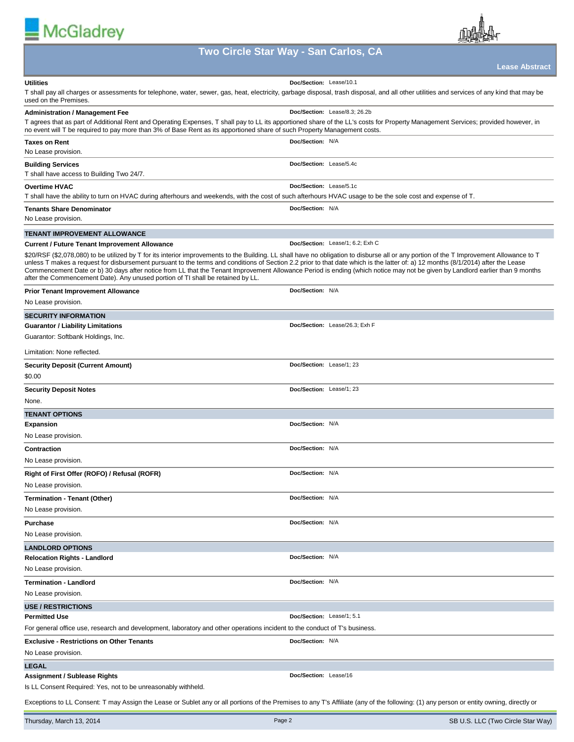



# **Two Circle Star Way - San Carlos, CA**

|                                                                                                                                                                                                                                                                                                                                                                                                                                                                                                                                                                                                                                                 | Lease Abstract                   |
|-------------------------------------------------------------------------------------------------------------------------------------------------------------------------------------------------------------------------------------------------------------------------------------------------------------------------------------------------------------------------------------------------------------------------------------------------------------------------------------------------------------------------------------------------------------------------------------------------------------------------------------------------|----------------------------------|
| <b>Utilities</b><br>T shall pay all charges or assessments for telephone, water, sewer, gas, heat, electricity, garbage disposal, trash disposal, and all other utilities and services of any kind that may be<br>used on the Premises.                                                                                                                                                                                                                                                                                                                                                                                                         | Doc/Section: Lease/10.1          |
| <b>Administration / Management Fee</b><br>T agrees that as part of Additional Rent and Operating Expenses, T shall pay to LL its apportioned share of the LL's costs for Property Management Services; provided however, in<br>no event will T be required to pay more than 3% of Base Rent as its apportioned share of such Property Management costs.                                                                                                                                                                                                                                                                                         | Doc/Section: Lease/8.3; 26.2b    |
| <b>Taxes on Rent</b><br>No Lease provision.                                                                                                                                                                                                                                                                                                                                                                                                                                                                                                                                                                                                     | Doc/Section: N/A                 |
| <b>Building Services</b><br>T shall have access to Building Two 24/7.                                                                                                                                                                                                                                                                                                                                                                                                                                                                                                                                                                           | Doc/Section: Lease/5.4c          |
| <b>Overtime HVAC</b><br>T shall have the ability to turn on HVAC during afterhours and weekends, with the cost of such afterhours HVAC usage to be the sole cost and expense of T.                                                                                                                                                                                                                                                                                                                                                                                                                                                              | Doc/Section: Lease/5.1c          |
| <b>Tenants Share Denominator</b><br>No Lease provision.                                                                                                                                                                                                                                                                                                                                                                                                                                                                                                                                                                                         | Doc/Section: N/A                 |
| <b>TENANT IMPROVEMENT ALLOWANCE</b>                                                                                                                                                                                                                                                                                                                                                                                                                                                                                                                                                                                                             |                                  |
| <b>Current / Future Tenant Improvement Allowance</b>                                                                                                                                                                                                                                                                                                                                                                                                                                                                                                                                                                                            | Doc/Section: Lease/1; 6.2; Exh C |
| \$20/RSF (\$2,078,080) to be utilized by T for its interior improvements to the Building. LL shall have no obligation to disburse all or any portion of the T Improvement Allowance to T<br>unless T makes a request for disbursement pursuant to the terms and conditions of Section 2.2 prior to that date which is the latter of: a) 12 months (8/1/2014) after the Lease<br>Commencement Date or b) 30 days after notice from LL that the Tenant Improvement Allowance Period is ending (which notice may not be given by Landlord earlier than 9 months<br>after the Commencement Date). Any unused portion of TI shall be retained by LL. |                                  |
| <b>Prior Tenant Improvement Allowance</b>                                                                                                                                                                                                                                                                                                                                                                                                                                                                                                                                                                                                       | Doc/Section: N/A                 |
| No Lease provision.                                                                                                                                                                                                                                                                                                                                                                                                                                                                                                                                                                                                                             |                                  |
| <b>SECURITY INFORMATION</b>                                                                                                                                                                                                                                                                                                                                                                                                                                                                                                                                                                                                                     |                                  |
| <b>Guarantor / Liability Limitations</b>                                                                                                                                                                                                                                                                                                                                                                                                                                                                                                                                                                                                        | Doc/Section: Lease/26.3; Exh F   |
| Guarantor: Softbank Holdings, Inc.                                                                                                                                                                                                                                                                                                                                                                                                                                                                                                                                                                                                              |                                  |
| Limitation: None reflected.                                                                                                                                                                                                                                                                                                                                                                                                                                                                                                                                                                                                                     |                                  |
| <b>Security Deposit (Current Amount)</b><br>\$0.00                                                                                                                                                                                                                                                                                                                                                                                                                                                                                                                                                                                              | Doc/Section: Lease/1; 23         |
| <b>Security Deposit Notes</b>                                                                                                                                                                                                                                                                                                                                                                                                                                                                                                                                                                                                                   | Doc/Section: Lease/1; 23         |
| None.                                                                                                                                                                                                                                                                                                                                                                                                                                                                                                                                                                                                                                           |                                  |
| <b>TENANT OPTIONS</b>                                                                                                                                                                                                                                                                                                                                                                                                                                                                                                                                                                                                                           |                                  |
| <b>Expansion</b>                                                                                                                                                                                                                                                                                                                                                                                                                                                                                                                                                                                                                                | Doc/Section: N/A                 |
| No Lease provision.                                                                                                                                                                                                                                                                                                                                                                                                                                                                                                                                                                                                                             |                                  |
| <b>Contraction</b>                                                                                                                                                                                                                                                                                                                                                                                                                                                                                                                                                                                                                              | Doc/Section: N/A                 |
| No Lease provision.                                                                                                                                                                                                                                                                                                                                                                                                                                                                                                                                                                                                                             |                                  |
| Right of First Offer (ROFO) / Refusal (ROFR)                                                                                                                                                                                                                                                                                                                                                                                                                                                                                                                                                                                                    | Doc/Section: N/A                 |
| No Lease provision.                                                                                                                                                                                                                                                                                                                                                                                                                                                                                                                                                                                                                             |                                  |
| Termination - Tenant (Other)                                                                                                                                                                                                                                                                                                                                                                                                                                                                                                                                                                                                                    | Doc/Section: N/A                 |
| No Lease provision.                                                                                                                                                                                                                                                                                                                                                                                                                                                                                                                                                                                                                             |                                  |
| Purchase                                                                                                                                                                                                                                                                                                                                                                                                                                                                                                                                                                                                                                        | Doc/Section: N/A                 |
| No Lease provision.                                                                                                                                                                                                                                                                                                                                                                                                                                                                                                                                                                                                                             |                                  |
| <b>LANDLORD OPTIONS</b>                                                                                                                                                                                                                                                                                                                                                                                                                                                                                                                                                                                                                         |                                  |
| <b>Relocation Rights - Landlord</b>                                                                                                                                                                                                                                                                                                                                                                                                                                                                                                                                                                                                             | Doc/Section: N/A                 |
| No Lease provision.                                                                                                                                                                                                                                                                                                                                                                                                                                                                                                                                                                                                                             |                                  |
| <b>Termination - Landlord</b>                                                                                                                                                                                                                                                                                                                                                                                                                                                                                                                                                                                                                   | Doc/Section: N/A                 |
| No Lease provision.                                                                                                                                                                                                                                                                                                                                                                                                                                                                                                                                                                                                                             |                                  |
| <b>USE / RESTRICTIONS</b>                                                                                                                                                                                                                                                                                                                                                                                                                                                                                                                                                                                                                       |                                  |
| <b>Permitted Use</b>                                                                                                                                                                                                                                                                                                                                                                                                                                                                                                                                                                                                                            | Doc/Section: Lease/1; 5.1        |
| For general office use, research and development, laboratory and other operations incident to the conduct of T's business.                                                                                                                                                                                                                                                                                                                                                                                                                                                                                                                      |                                  |
| <b>Exclusive - Restrictions on Other Tenants</b>                                                                                                                                                                                                                                                                                                                                                                                                                                                                                                                                                                                                | Doc/Section: N/A                 |
| No Lease provision.                                                                                                                                                                                                                                                                                                                                                                                                                                                                                                                                                                                                                             |                                  |
| <b>LEGAL</b>                                                                                                                                                                                                                                                                                                                                                                                                                                                                                                                                                                                                                                    |                                  |
| <b>Assignment / Sublease Rights</b>                                                                                                                                                                                                                                                                                                                                                                                                                                                                                                                                                                                                             | Doc/Section: Lease/16            |

Is LL Consent Required: Yes, not to be unreasonably withheld.

Exceptions to LL Consent: T may Assign the Lease or Sublet any or all portions of the Premises to any T's Affiliate (any of the following: (1) any person or entity owning, directly or

E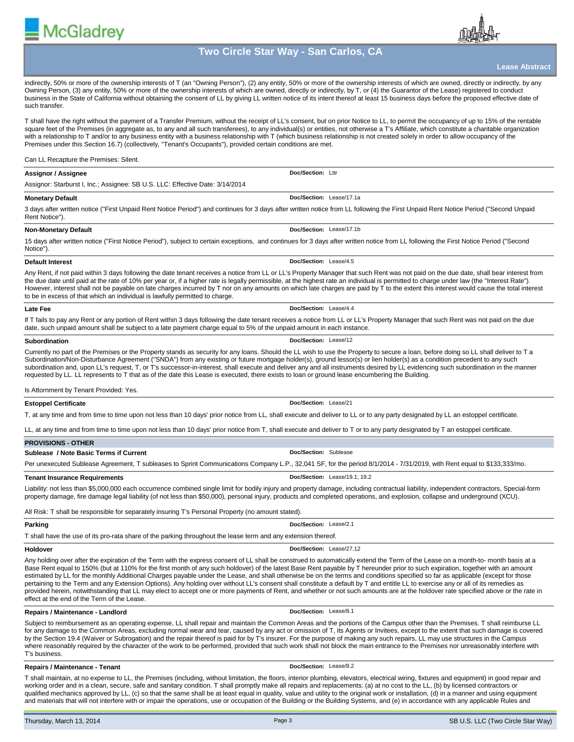

**Lease Abstract**

indirectly, 50% or more of the ownership interests of T (an "Owning Person"), (2) any entity, 50% or more of the ownership interests of which are owned, directly or indirectly, by any Owning Person, (3) any entity, 50% or more of the ownership interests of which are owned, directly or indirectly, by T, or (4) the Guarantor of the Lease) registered to conduct business in the State of California without obtaining the consent of LL by giving LL written notice of its intent thereof at least 15 business days before the proposed effective date of such transfer.

T shall have the right without the payment of a Transfer Premium, without the receipt of LL's consent, but on prior Notice to LL, to permit the occupancy of up to 15% of the rentable square feet of the Premises (in aggregate as, to any and all such transferees), to any individual(s) or entities, not otherwise a T's Affiliate, which constitute a charitable organization with a relationship to T and/or to any business entity with a business relationship with T (which business relationship is not created solely in order to allow occupancy of the Premises under this Section 16.7) (collectively, "Tenant's Occupants"), provided certain conditions are met.

# Can LL Recapture the Premises: Silent.

**McGladrev** 

# **Assignor / Assignee** Assignor: Starburst I, Inc.; Assignee: SB U.S. LLC: Effective Date: 3/14/2014 **Doc/Section:** Lttr **Monetary Default** 3 days after written notice ("First Unpaid Rent Notice Period") and continues for 3 days after written notice from LL following the First Unpaid Rent Notice Period ("Second Unpaid Rent Notice"). **Doc/Section:** Lease/17.1a

# **Non-Monetary Default Doc/Section:** Lease/17.1b

15 days after written notice ("First Notice Period"), subject to certain exceptions, and continues for 3 days after written notice from LL following the First Notice Period ("Second Notice").

#### **Default Interest**

Any Rent, if not paid within 3 days following the date tenant receives a notice from LL or LL's Property Manager that such Rent was not paid on the due date, shall bear interest from the due date until paid at the rate of 10% per year or, if a higher rate is legally permissible, at the highest rate an individual is permitted to charge under law (the "Interest Rate"). However, interest shall not be payable on late charges incurred by T nor on any amounts on which late charges are paid by T to the extent this interest would cause the total interest to be in excess of that which an individual is lawfully permitted to charge.

**Doc/Section:** Lease/4.5

**Doc/Section:** Lease/4.4

**Doc/Section:** Lease/12

**Doc/Section:** Lease/21

#### **Late Fee**

If T fails to pay any Rent or any portion of Rent within 3 days following the date tenant receives a notice from LL or LL's Property Manager that such Rent was not paid on the due date, such unpaid amount shall be subject to a late payment charge equal to 5% of the unpaid amount in each instance.

# **Subordination**

Currently no part of the Premises or the Property stands as security for any loans. Should the LL wish to use the Property to secure a loan, before doing so LL shall deliver to T a Subordination/Non-Disturbance Agreement ("SNDA") from any existing or future mortgage holder(s), ground lessor(s) or lien holder(s) as a condition precedent to any such subordination and, upon LL's request, T, or T's successor-in-interest, shall execute and deliver any and all instruments desired by LL evidencing such subordination in the manner requested by LL. LL represents to T that as of the date this Lease is executed, there exists to loan or ground lease encumbering the Building.

# Is Attornment by Tenant Provided: Yes.

# **Estoppel Certificate**

T, at any time and from time to time upon not less than 10 days' prior notice from LL, shall execute and deliver to LL or to any party designated by LL an estoppel certificate.

LL, at any time and from time to time upon not less than 10 days' prior notice from T, shall execute and deliver to T or to any party designated by T an estoppel certificate.

| <b>PROVISIONS - OTHER</b>                                                                                                                                              |                               |  |  |  |
|------------------------------------------------------------------------------------------------------------------------------------------------------------------------|-------------------------------|--|--|--|
| <b>Sublease / Note Basic Terms if Current</b>                                                                                                                          | Doc/Section: Sublease         |  |  |  |
| Per unexecuted Sublease Agreement, T subleases to Sprint Communications Company L.P., 32,041 SF, for the period 8/1/2014 - 7/31/2019, with Rent equal to \$133,333/mo. |                               |  |  |  |
| <b>Tenant Insurance Requirements</b>                                                                                                                                   | Doc/Section: Lease/19.1: 19.2 |  |  |  |

Liability: not less than \$5,000,000 each occurrence combined single limit for bodily injury and property damage, including contractual liability, independent contractors, Special-form property damage, fire damage legal liability (of not less than \$50,000), personal injury, products and completed operations, and explosion, collapse and underground (XCU).

All Risk: T shall be responsible for separately insuring T's Personal Property (no amount stated).

# **Parking**

T shall have the use of its pro-rata share of the parking throughout the lease term and any extension thereof.

#### **Holdover**

**Doc/Section:** Lease/27.12

**Doc/Section:** Lease/2.1

Any holding over after the expiration of the Term with the express consent of LL shall be construed to automatically extend the Term of the Lease on a month-to- month basis at a Base Rent equal to 150% (but at 110% for the first month of any such holdover) of the latest Base Rent payable by T hereunder prior to such expiration, together with an amount estimated by LL for the monthly Additional Charges payable under the Lease, and shall otherwise be on the terms and conditions specified so far as applicable (except for those pertaining to the Term and any Extension Options). Any holding over without LL's consent shall constitute a default by T and entitle LL to exercise any or all of its remedies as provided herein, notwithstanding that LL may elect to accept one or more payments of Rent, and whether or not such amounts are at the holdover rate specified above or the rate in effect at the end of the Term of the Lease.

# **Repairs / Maintenance - Landlord**

Subject to reimbursement as an operating expense, LL shall repair and maintain the Common Areas and the portions of the Campus other than the Premises. T shall reimburse LL for any damage to the Common Areas, excluding normal wear and tear, caused by any act or omission of T, its Agents or Invitees, except to the extent that such damage is covered by the Section 19.4 (Waiver or Subrogation) and the repair thereof is paid for by T's insurer. For the purpose of making any such repairs, LL may use structures in the Campus where reasonably required by the character of the work to be performed, provided that such work shall not block the main entrance to the Premises nor unreasonably interfere with T's business.

# **Repairs / Maintenance - Tenant**

**Doc/Section:** Lease/8.2

**Doc/Section:** Lease/8.1

T shall maintain, at no expense to LL, the Premises (including, without limitation, the floors, interior plumbing, elevators, electrical wiring, fixtures and equipment) in good repair and working order and in a clean, secure, safe and sanitary condition. T shall promptly make all repairs and replacements: (a) at no cost to the LL, (b) by licensed contractors or qualified mechanics approved by LL, (c) so that the same shall be at least equal in quality, value and utility to the original work or installation, (d) in a manner and using equipment and materials that will not interfere with or impair the operations, use or occupation of the Building or the Building Systems, and (e) in accordance with any applicable Rules and